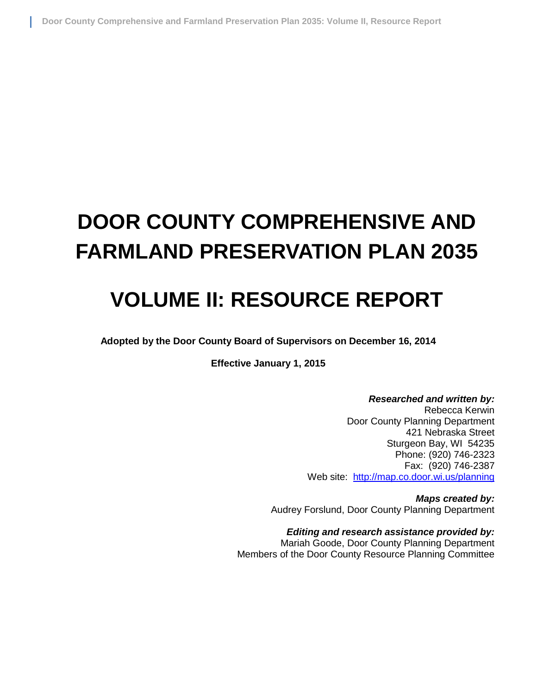# **DOOR COUNTY COMPREHENSIVE AND FARMLAND PRESERVATION PLAN 2035**

## **VOLUME II: RESOURCE REPORT**

**Adopted by the Door County Board of Supervisors on December 16, 2014**

**Effective January 1, 2015**

*Researched and written by:* Rebecca Kerwin Door County Planning Department 421 Nebraska Street Sturgeon Bay, WI 54235 Phone: (920) 746-2323 Fax: (920) 746-2387 Web site: <http://map.co.door.wi.us/planning>

*Maps created by:* Audrey Forslund, Door County Planning Department

*Editing and research assistance provided by:* Mariah Goode, Door County Planning Department Members of the Door County Resource Planning Committee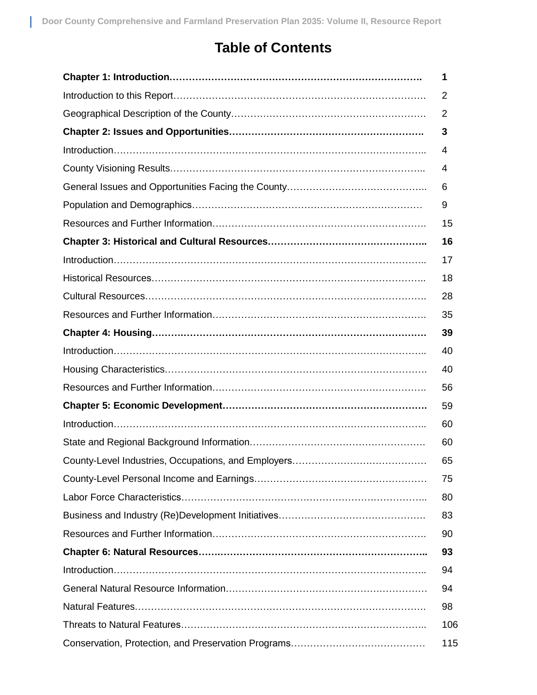### **Table of Contents**

| 1   |
|-----|
| 2   |
| 2   |
| 3   |
| 4   |
| 4   |
| 6   |
| 9   |
| 15  |
| 16  |
| 17  |
| 18  |
| 28  |
| 35  |
| 39  |
| 40  |
| 40  |
| 56  |
| 59  |
| 60  |
| 60  |
| 65  |
| 75  |
| 80  |
| 83  |
| 90  |
| 93  |
| 94  |
| 94  |
| 98  |
| 106 |
| 115 |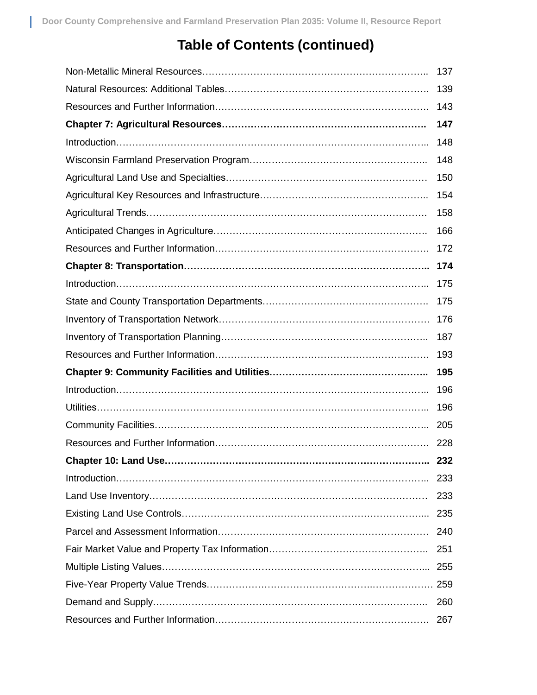### **Table of Contents (continued)**

|                      | 137 |
|----------------------|-----|
|                      | 139 |
|                      | 143 |
|                      | 147 |
|                      | 148 |
|                      | 148 |
|                      | 150 |
|                      | 154 |
|                      | 158 |
|                      | 166 |
|                      | 172 |
|                      | 174 |
|                      | 175 |
|                      | 175 |
|                      | 176 |
|                      | 187 |
|                      | 193 |
|                      | 195 |
|                      | 196 |
|                      | 196 |
|                      |     |
|                      | 228 |
| Chapter 10: Land Use | 232 |
|                      | 233 |
|                      | 233 |
|                      |     |
|                      | 240 |
|                      | 251 |
|                      |     |
|                      |     |
|                      | 260 |
|                      | 267 |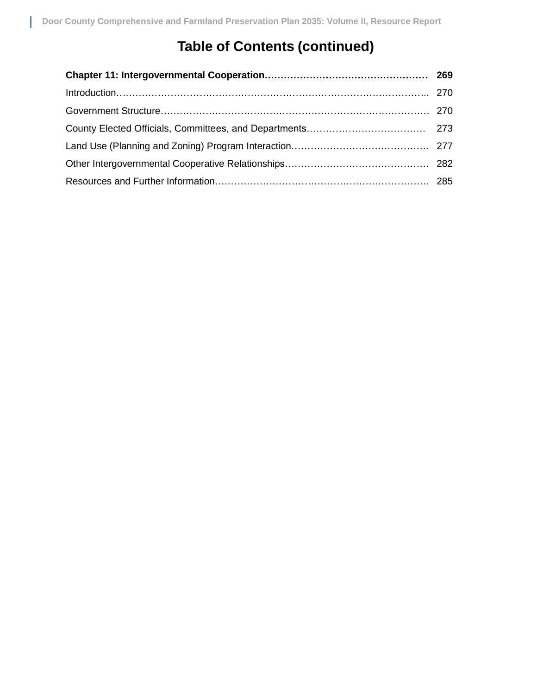## **Table of Contents (continued)**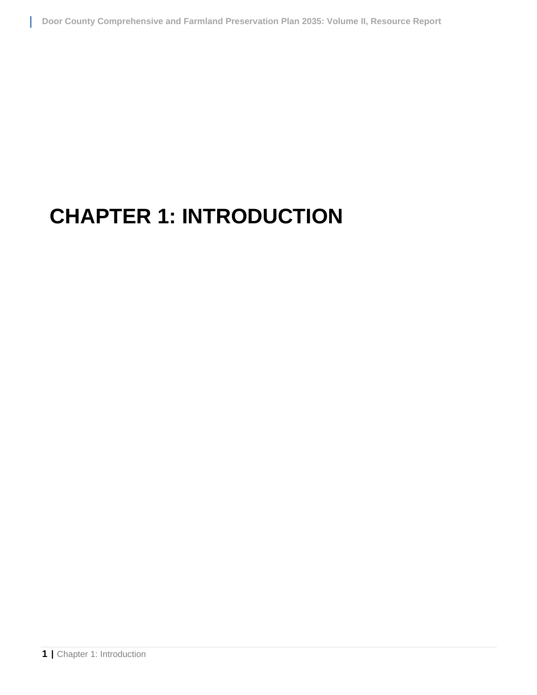# **CHAPTER 1: INTRODUCTION**

I